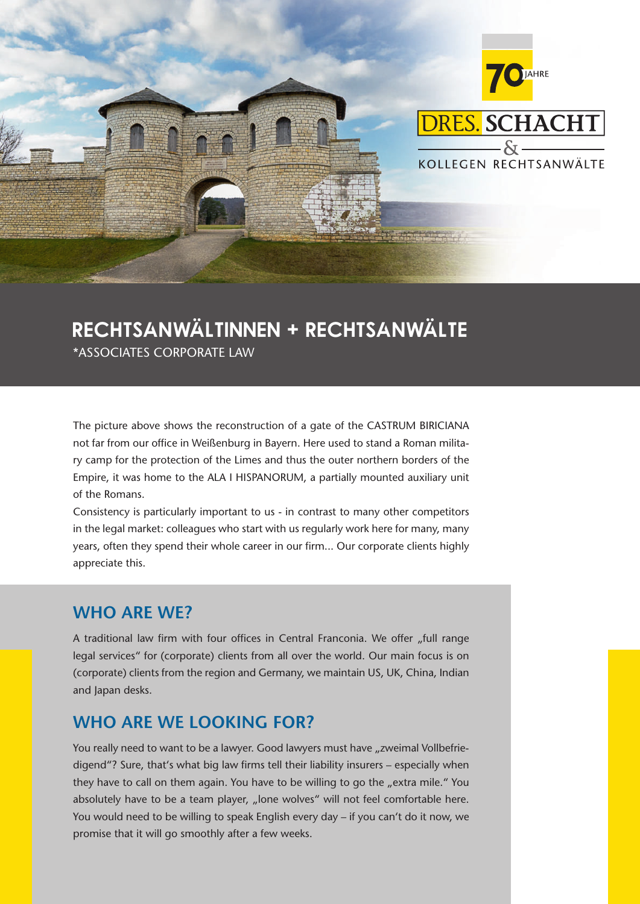

# **Rechtsanwältinnen + Rechtsanwälte**

\*ASSOCIATES CORPORATE LAW

The picture above shows the reconstruction of a gate of the CASTRUM BIRICIANA not far from our office in Weißenburg in Bayern. Here used to stand a Roman military camp for the protection of the Limes and thus the outer northern borders of the Empire, it was home to the ALA I HISPANORUM, a partially mounted auxiliary unit of the Romans.

Consistency is particularly important to us - in contrast to many other competitors in the legal market: colleagues who start with us regularly work here for many, many years, often they spend their whole career in our firm... Our corporate clients highly appreciate this.

## **WHO ARE WE?**

A traditional law firm with four offices in Central Franconia. We offer "full range legal services" for (corporate) clients from all over the world. Our main focus is on (corporate) clients from the region and Germany, we maintain US, UK, China, Indian and Japan desks.

# **WHO ARE WE LOOKING FOR?**

You really need to want to be a lawyer. Good lawyers must have "zweimal Vollbefriedigend"? Sure, that's what big law firms tell their liability insurers - especially when they have to call on them again. You have to be willing to go the "extra mile." You absolutely have to be a team player, "lone wolves" will not feel comfortable here. You would need to be willing to speak English every day – if you can't do it now, we promise that it will go smoothly after a few weeks.